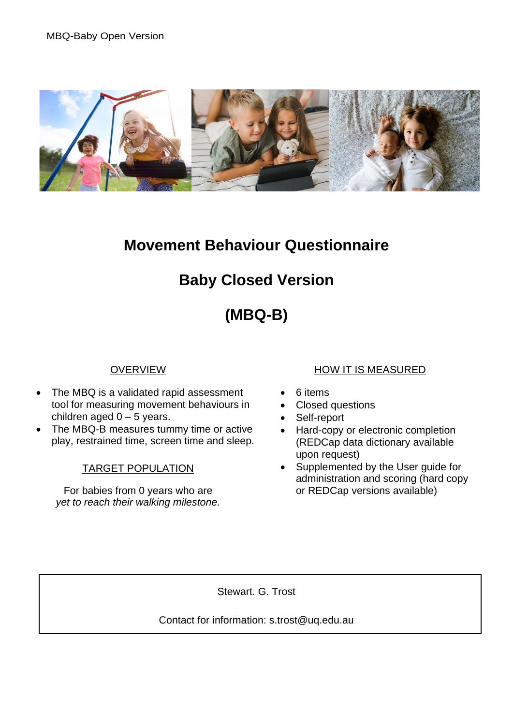

### **Movement Behaviour Questionnaire**

# **Baby Closed Version**

# **(MBQ-B)**

### **OVERVIEW**

- The MBQ is a validated rapid assessment tool for measuring movement behaviours in children aged  $0 - 5$  years.
- The MBQ-B measures tummy time or active play, restrained time, screen time and sleep.

#### TARGET POPULATION

For babies from 0 years who are *yet to reach their walking milestone.*

### HOW IT IS MEASURED

- 6 items
- Closed questions
- Self-report
- Hard-copy or electronic completion (REDCap data dictionary available upon request)
- Supplemented by the User guide for administration and scoring (hard copy or REDCap versions available)

Stewart. G. Trost

Contact for information: s.trost@uq.edu.au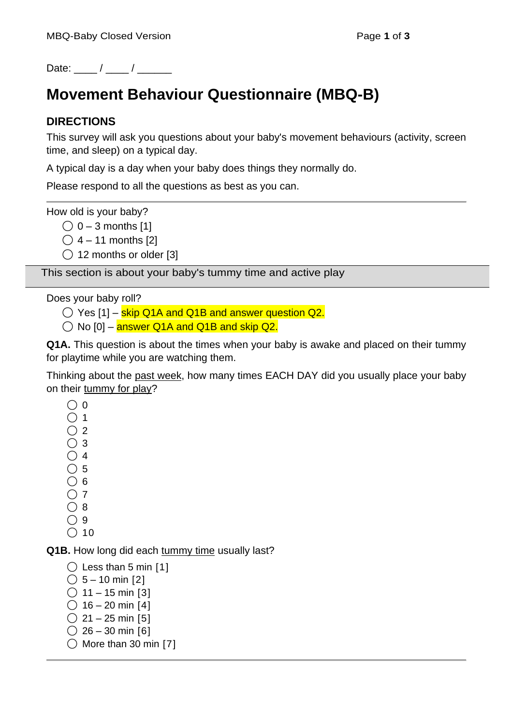Date:  $\frac{1}{2}$  /  $\frac{1}{2}$ 

# **Movement Behaviour Questionnaire (MBQ-B)**

### **DIRECTIONS**

This survey will ask you questions about your baby's movement behaviours (activity, screen time, and sleep) on a typical day.

A typical day is a day when your baby does things they normally do.

Please respond to all the questions as best as you can.

How old is your baby?

 $\bigcirc$  0 – 3 months [1]

 $\bigcirc$  4 – 11 months [2]

◯ 12 months or older [3]

This section is about your baby's tummy time and active play

Does your baby roll?

 $\bigcirc$  Yes [1] – skip Q1A and Q1B and answer question Q2.

 $\bigcirc$  No [0] – answer Q1A and Q1B and skip Q2.

**Q1A.** This question is about the times when your baby is awake and placed on their tummy for playtime while you are watching them.

Thinking about the past week, how many times EACH DAY did you usually place your baby on their tummy for play?

- $\bigcirc$  0
- $\bigcap$  1
- $\bigcap 2$
- $\bigcirc$  3  $\bigcirc$  4
- $\bigcirc$  5
- $\bigcirc$  6
- $\bigcirc$  7
- $\bigcap$  8
- $\bigcirc$  9
- $\bigcirc$  10

**Q1B.** How long did each tummy time usually last?

```
\bigcirc Less than 5 min [1]
```

```
\bigcirc 5 – 10 min [2]
\bigcirc 11 – 15 min [3]
```
- $\bigcirc$  16 20 min [4]
- $\bigcirc$  21 25 min [5]
- $\bigcirc$  26 30 min [6]
- $\bigcirc$  More than 30 min [7]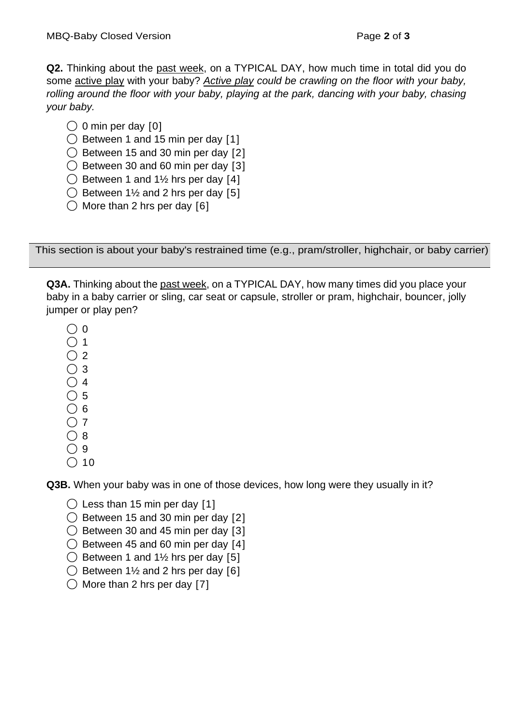**Q2.** Thinking about the past week, on a TYPICAL DAY, how much time in total did you do some active play with your baby? *Active play could be crawling on the floor with your baby, rolling around the floor with your baby, playing at the park, dancing with your baby, chasing your baby.*

- $\bigcirc$  0 min per day [0]
- ◯ Between 1 and 15 min per day [1]
- $\bigcirc$  Between 15 and 30 min per day [2]
- $\bigcirc$  Between 30 and 60 min per day [3]
- $\bigcirc$  Between 1 and 1½ hrs per day [4]
- $\bigcirc$  Between 1½ and 2 hrs per day [5]
- $\bigcirc$  More than 2 hrs per day [6]

This section is about your baby's restrained time (e.g., pram/stroller, highchair, or baby carrier)

**Q3A.** Thinking about the past week, on a TYPICAL DAY, how many times did you place your baby in a baby carrier or sling, car seat or capsule, stroller or pram, highchair, bouncer, jolly jumper or play pen?

- $\bigcap$  0
- $\bigcap$  1
- $\bigcirc$  2
- $\bigcirc$  3
- $\bigcirc$  4
- $\bigcirc$  5
- $\bigcirc$  6  $\bigcap$  7
- $\bigcirc$  8
- $\bigcirc$  9
- $\bigcirc$  10

**Q3B.** When your baby was in one of those devices, how long were they usually in it?

- $\bigcirc$  Less than 15 min per day [1]
- $\bigcirc$  Between 15 and 30 min per day [2]
- $\bigcirc$  Between 30 and 45 min per day [3]
- $\bigcirc$  Between 45 and 60 min per day [4]
- $\bigcirc$  Between 1 and 1½ hrs per day [5]
- $\bigcirc$  Between 1½ and 2 hrs per day [6]
- $\bigcirc$  More than 2 hrs per day [7]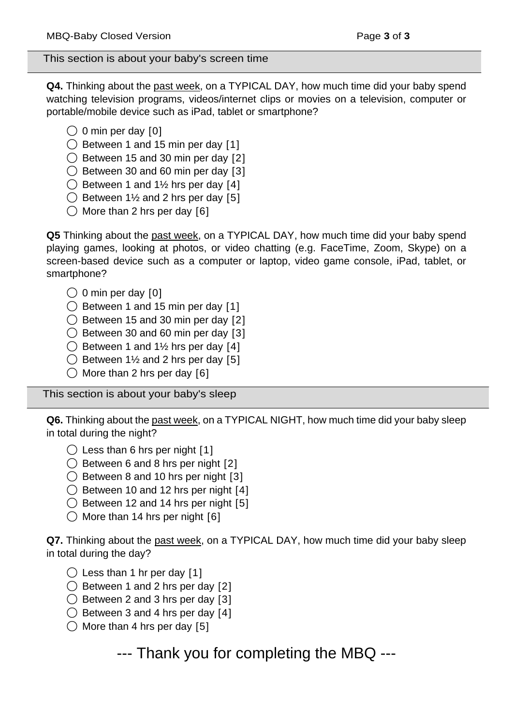This section is about your baby's screen time

**Q4.** Thinking about the past week, on a TYPICAL DAY, how much time did your baby spend watching television programs, videos/internet clips or movies on a television, computer or portable/mobile device such as iPad, tablet or smartphone?

- $\bigcirc$  0 min per day [0]
- $\bigcirc$  Between 1 and 15 min per day [1]

 $\bigcirc$  Between 15 and 30 min per day [2]

 $\bigcirc$  Between 30 and 60 min per day [3]

- $\bigcirc$  Between 1 and 1½ hrs per day [4]
- $\bigcirc$  Between 1½ and 2 hrs per day [5]
- $\bigcirc$  More than 2 hrs per day [6]

**Q5** Thinking about the past week, on a TYPICAL DAY, how much time did your baby spend playing games, looking at photos, or video chatting (e.g. FaceTime, Zoom, Skype) on a screen-based device such as a computer or laptop, video game console, iPad, tablet, or smartphone?

- $\bigcirc$  0 min per day [0]
- ◯ Between 1 and 15 min per day [1]
- $\bigcirc$  Between 15 and 30 min per day [2]
- $\bigcirc$  Between 30 and 60 min per day [3]
- $\bigcirc$  Between 1 and 1½ hrs per day [4]
- $\bigcirc$  Between 1½ and 2 hrs per day [5]
- $\bigcirc$  More than 2 hrs per day [6]

This section is about your baby's sleep

**Q6.** Thinking about the past week, on a TYPICAL NIGHT, how much time did your baby sleep in total during the night?

- $\bigcirc$  Less than 6 hrs per night [1]
- $\bigcirc$  Between 6 and 8 hrs per night [2]
- $\bigcirc$  Between 8 and 10 hrs per night [3]
- $\bigcirc$  Between 10 and 12 hrs per night [4]
- ◯ Between 12 and 14 hrs per night [5]
- $\bigcirc$  More than 14 hrs per night [6]

**Q7.** Thinking about the past week, on a TYPICAL DAY, how much time did your baby sleep in total during the day?

- $\bigcirc$  Less than 1 hr per day [1]
- ◯ Between 1 and 2 hrs per day [2]
- $\bigcirc$  Between 2 and 3 hrs per day [3]
- $\bigcirc$  Between 3 and 4 hrs per day [4]
- $\bigcirc$  More than 4 hrs per day [5]

--- Thank you for completing the MBQ ---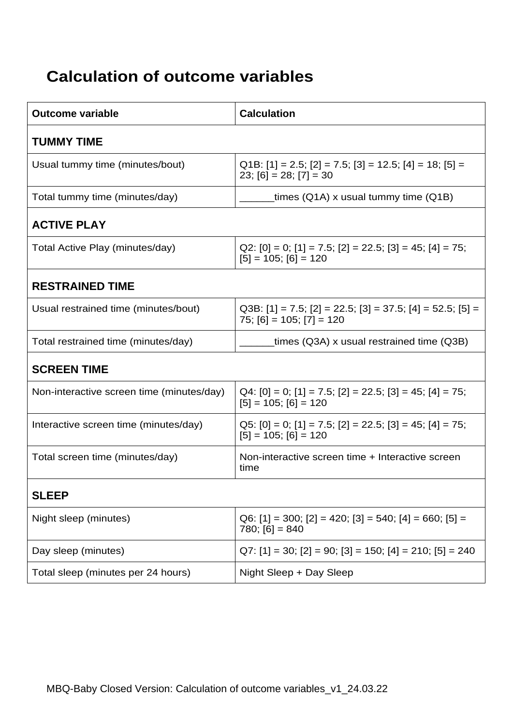# **Calculation of outcome variables**

| <b>Outcome variable</b>                   | <b>Calculation</b>                                                                                     |  |
|-------------------------------------------|--------------------------------------------------------------------------------------------------------|--|
| <b>TUMMY TIME</b>                         |                                                                                                        |  |
| Usual tummy time (minutes/bout)           | Q1B: [1] = 2.5; [2] = 7.5; [3] = 12.5; [4] = 18; [5] =<br>$23$ ; [6] = 28; [7] = 30                    |  |
| Total tummy time (minutes/day)            | times (Q1A) x usual tummy time (Q1B)                                                                   |  |
| <b>ACTIVE PLAY</b>                        |                                                                                                        |  |
| Total Active Play (minutes/day)           | Q2: [0] = 0; [1] = 7.5; [2] = 22.5; [3] = 45; [4] = 75;<br>$[5] = 105; [6] = 120$                      |  |
| <b>RESTRAINED TIME</b>                    |                                                                                                        |  |
| Usual restrained time (minutes/bout)      | Q3B: $[1] = 7.5$ ; $[2] = 22.5$ ; $[3] = 37.5$ ; $[4] = 52.5$ ; $[5] =$<br>$75$ ; [6] = 105; [7] = 120 |  |
| Total restrained time (minutes/day)       | times (Q3A) x usual restrained time (Q3B)                                                              |  |
| <b>SCREEN TIME</b>                        |                                                                                                        |  |
| Non-interactive screen time (minutes/day) | $Q4: [0] = 0$ ; [1] = 7.5; [2] = 22.5; [3] = 45; [4] = 75;<br>$[5] = 105; [6] = 120$                   |  |
| Interactive screen time (minutes/day)     | Q5: [0] = 0; [1] = 7.5; [2] = 22.5; [3] = 45; [4] = 75;<br>$[5] = 105; [6] = 120$                      |  |
| Total screen time (minutes/day)           | Non-interactive screen time + Interactive screen<br>time                                               |  |
| <b>SLEEP</b>                              |                                                                                                        |  |
| Night sleep (minutes)                     | $Q6: [1] = 300; [2] = 420; [3] = 540; [4] = 660; [5] =$<br>$780; [6] = 840$                            |  |
| Day sleep (minutes)                       | $Q7: [1] = 30; [2] = 90; [3] = 150; [4] = 210; [5] = 240$                                              |  |
| Total sleep (minutes per 24 hours)        | Night Sleep + Day Sleep                                                                                |  |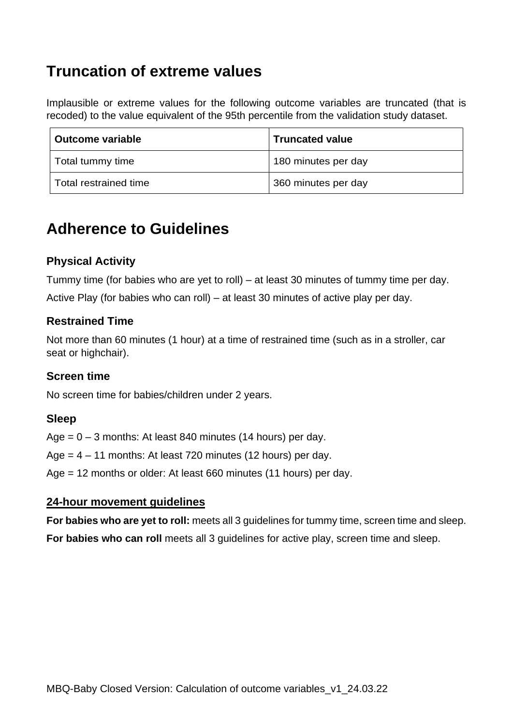### **Truncation of extreme values**

Implausible or extreme values for the following outcome variables are truncated (that is recoded) to the value equivalent of the 95th percentile from the validation study dataset.

| ∣ Outcome variable    | <b>Truncated value</b> |
|-----------------------|------------------------|
| Total tummy time      | 180 minutes per day    |
| Total restrained time | 360 minutes per day    |

### **Adherence to Guidelines**

### **Physical Activity**

Tummy time (for babies who are yet to roll) – at least 30 minutes of tummy time per day.

Active Play (for babies who can roll) – at least 30 minutes of active play per day.

### **Restrained Time**

Not more than 60 minutes (1 hour) at a time of restrained time (such as in a stroller, car seat or highchair).

### **Screen time**

No screen time for babies/children under 2 years.

### **Sleep**

Age  $= 0 - 3$  months: At least 840 minutes (14 hours) per day.

Age  $= 4 - 11$  months: At least 720 minutes (12 hours) per day.

Age = 12 months or older: At least 660 minutes (11 hours) per day.

#### **24-hour movement guidelines**

**For babies who are yet to roll:** meets all 3 guidelines for tummy time, screen time and sleep.

**For babies who can roll** meets all 3 guidelines for active play, screen time and sleep.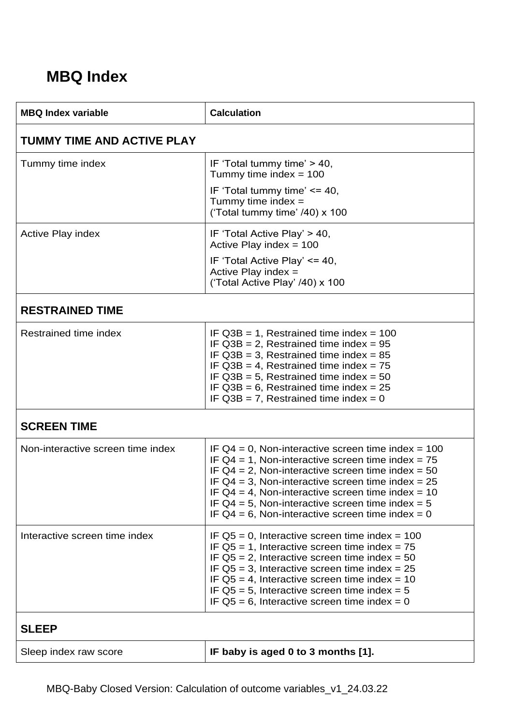## **MBQ Index**

| <b>MBQ Index variable</b>         | <b>Calculation</b>                                                                                                                                                                                                                                                                                                                                                                                  |  |
|-----------------------------------|-----------------------------------------------------------------------------------------------------------------------------------------------------------------------------------------------------------------------------------------------------------------------------------------------------------------------------------------------------------------------------------------------------|--|
| <b>TUMMY TIME AND ACTIVE PLAY</b> |                                                                                                                                                                                                                                                                                                                                                                                                     |  |
| Tummy time index                  | IF 'Total tummy time' > 40,<br>Tummy time index = $100$<br>IF 'Total tummy time' <= 40,<br>Tummy time index $=$<br>('Total tummy time' /40) x 100                                                                                                                                                                                                                                                   |  |
| <b>Active Play index</b>          | IF 'Total Active Play' > 40,<br>Active Play index = $100$<br>IF 'Total Active Play' <= 40,<br>Active Play index $=$<br>('Total Active Play' /40) x 100                                                                                                                                                                                                                                              |  |
| <b>RESTRAINED TIME</b>            |                                                                                                                                                                                                                                                                                                                                                                                                     |  |
| Restrained time index             | IF $Q3B = 1$ , Restrained time index = 100<br>IF $Q3B = 2$ , Restrained time index = 95<br>IF $Q3B = 3$ , Restrained time index = 85<br>IF $Q3B = 4$ , Restrained time index = 75<br>IF $Q3B = 5$ , Restrained time index = 50<br>IF $Q3B = 6$ , Restrained time index = 25<br>IF $Q3B = 7$ , Restrained time index = 0                                                                             |  |
| <b>SCREEN TIME</b>                |                                                                                                                                                                                                                                                                                                                                                                                                     |  |
| Non-interactive screen time index | IF $Q4 = 0$ , Non-interactive screen time index = 100<br>IF $Q4 = 1$ , Non-interactive screen time index = 75<br>IF $Q4 = 2$ , Non-interactive screen time index = 50<br>IF $Q4 = 3$ , Non-interactive screen time index = 25<br>IF $Q4 = 4$ , Non-interactive screen time index = 10<br>IF $Q4 = 5$ , Non-interactive screen time index = 5<br>IF $Q4 = 6$ , Non-interactive screen time index = 0 |  |
| Interactive screen time index     | IF $Q5 = 0$ , Interactive screen time index = 100<br>IF $Q5 = 1$ , Interactive screen time index = 75<br>IF $Q5 = 2$ , Interactive screen time index = 50<br>IF $Q5 = 3$ , Interactive screen time index = 25<br>IF $Q5 = 4$ , Interactive screen time index = 10<br>IF $Q5 = 5$ , Interactive screen time index = 5<br>IF $Q5 = 6$ , Interactive screen time index = 0                             |  |
| <b>SLEEP</b>                      |                                                                                                                                                                                                                                                                                                                                                                                                     |  |
| Sleep index raw score             | IF baby is aged 0 to 3 months [1].                                                                                                                                                                                                                                                                                                                                                                  |  |